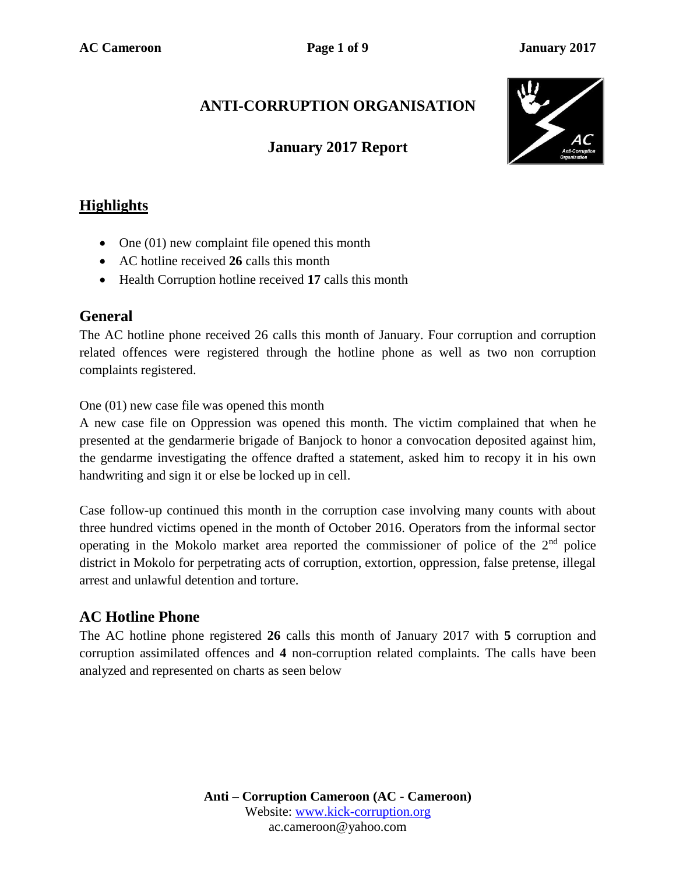# **ANTI-CORRUPTION ORGANISATION**

### **January 2017 Report**



## **Highlights**

- One  $(01)$  new complaint file opened this month
- AC hotline received **26** calls this month
- Health Corruption hotline received **17** calls this month

### **General**

The AC hotline phone received 26 calls this month of January. Four corruption and corruption related offences were registered through the hotline phone as well as two non corruption complaints registered.

One (01) new case file was opened this month

A new case file on Oppression was opened this month. The victim complained that when he presented at the gendarmerie brigade of Banjock to honor a convocation deposited against him, the gendarme investigating the offence drafted a statement, asked him to recopy it in his own handwriting and sign it or else be locked up in cell.

Case follow-up continued this month in the corruption case involving many counts with about three hundred victims opened in the month of October 2016. Operators from the informal sector operating in the Mokolo market area reported the commissioner of police of the  $2<sup>nd</sup>$  police district in Mokolo for perpetrating acts of corruption, extortion, oppression, false pretense, illegal arrest and unlawful detention and torture.

### **AC Hotline Phone**

The AC hotline phone registered **26** calls this month of January 2017 with **5** corruption and corruption assimilated offences and **4** non-corruption related complaints. The calls have been analyzed and represented on charts as seen below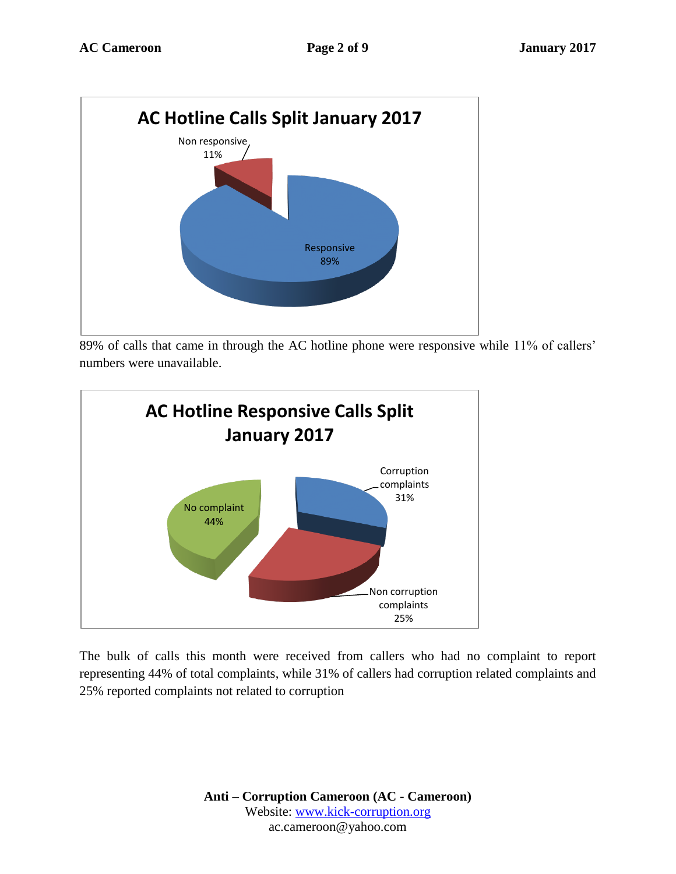

89% of calls that came in through the AC hotline phone were responsive while 11% of callers' numbers were unavailable.



The bulk of calls this month were received from callers who had no complaint to report representing 44% of total complaints, while 31% of callers had corruption related complaints and 25% reported complaints not related to corruption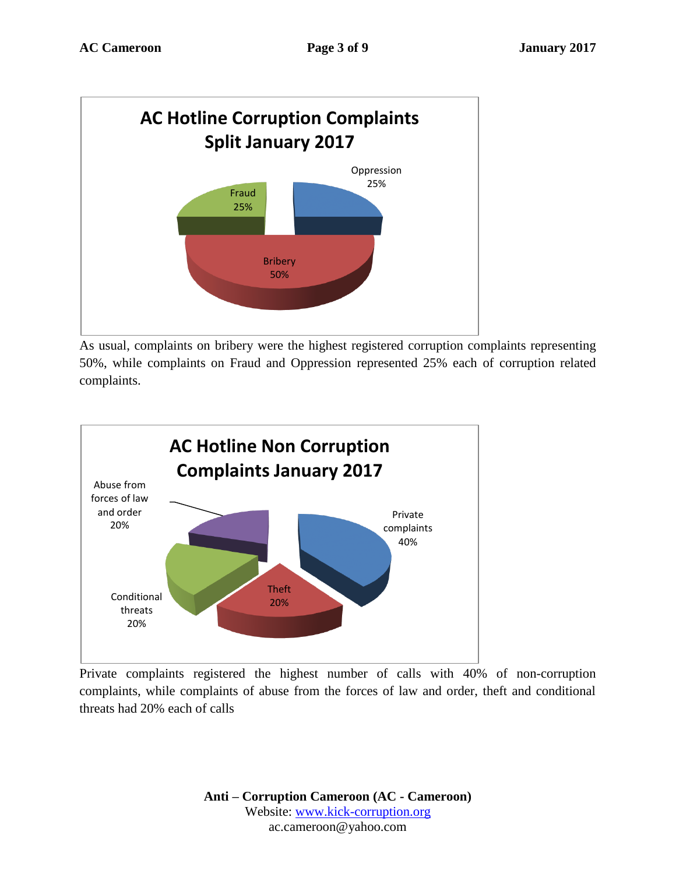

As usual, complaints on bribery were the highest registered corruption complaints representing 50%, while complaints on Fraud and Oppression represented 25% each of corruption related complaints.



Private complaints registered the highest number of calls with 40% of non-corruption complaints, while complaints of abuse from the forces of law and order, theft and conditional threats had 20% each of calls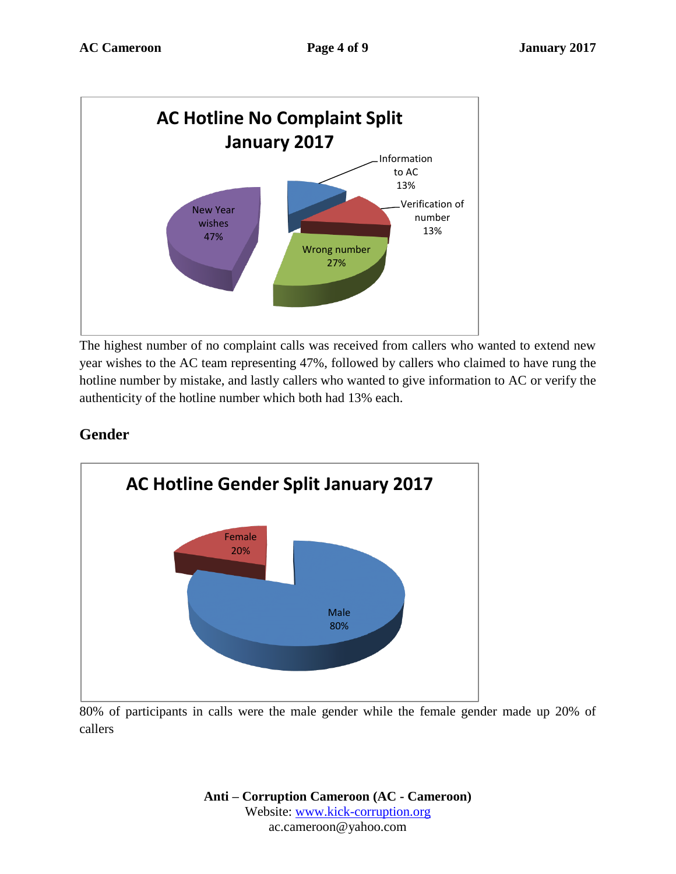

The highest number of no complaint calls was received from callers who wanted to extend new year wishes to the AC team representing 47%, followed by callers who claimed to have rung the hotline number by mistake, and lastly callers who wanted to give information to AC or verify the authenticity of the hotline number which both had 13% each.

### **Gender**



80% of participants in calls were the male gender while the female gender made up 20% of callers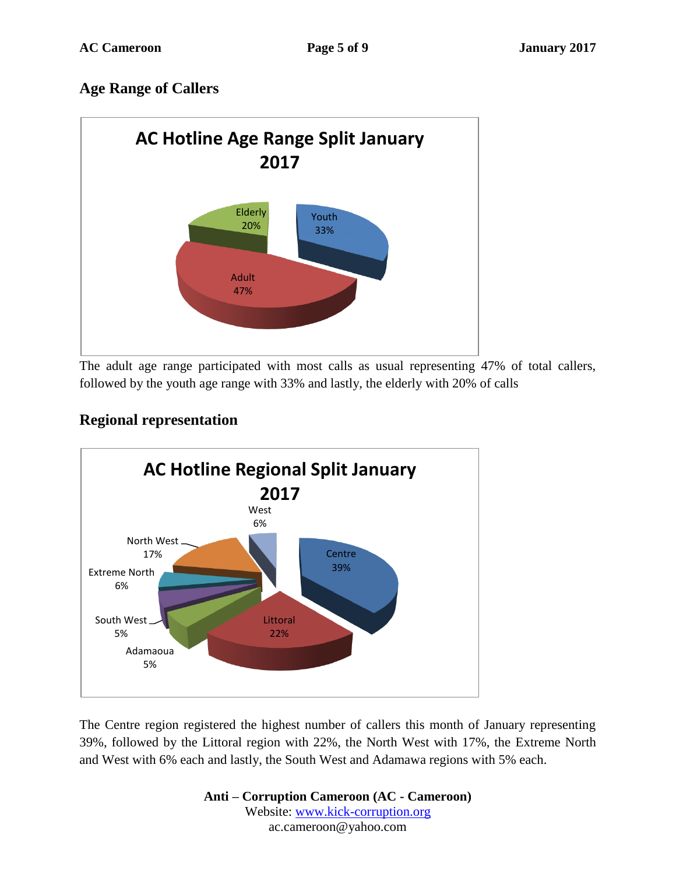## **Age Range of Callers**



The adult age range participated with most calls as usual representing 47% of total callers, followed by the youth age range with 33% and lastly, the elderly with 20% of calls



# **Regional representation**

The Centre region registered the highest number of callers this month of January representing 39%, followed by the Littoral region with 22%, the North West with 17%, the Extreme North and West with 6% each and lastly, the South West and Adamawa regions with 5% each.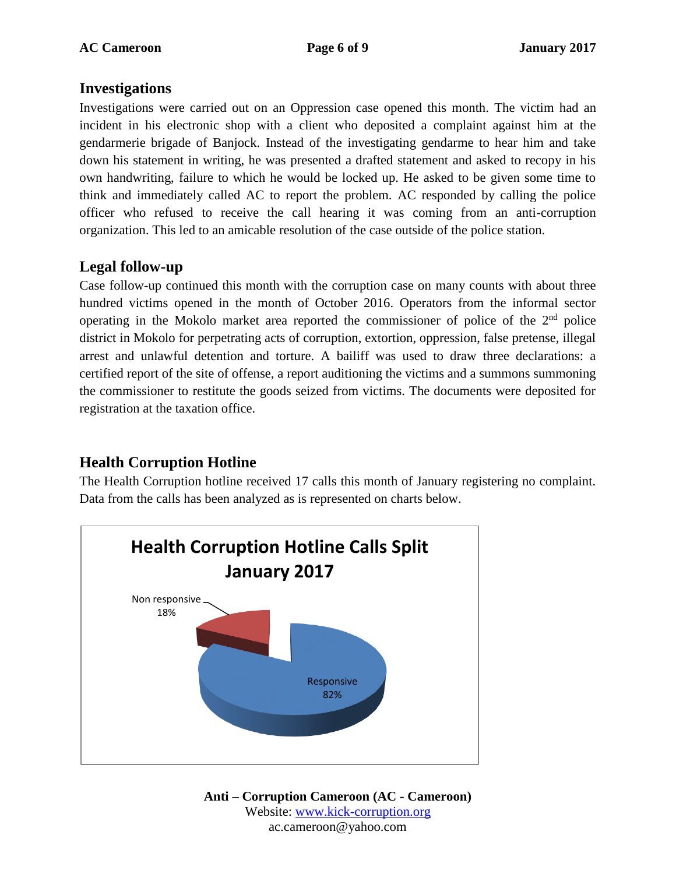### **Investigations**

Investigations were carried out on an Oppression case opened this month. The victim had an incident in his electronic shop with a client who deposited a complaint against him at the gendarmerie brigade of Banjock. Instead of the investigating gendarme to hear him and take down his statement in writing, he was presented a drafted statement and asked to recopy in his own handwriting, failure to which he would be locked up. He asked to be given some time to think and immediately called AC to report the problem. AC responded by calling the police officer who refused to receive the call hearing it was coming from an anti-corruption organization. This led to an amicable resolution of the case outside of the police station.

### **Legal follow-up**

Case follow-up continued this month with the corruption case on many counts with about three hundred victims opened in the month of October 2016. Operators from the informal sector operating in the Mokolo market area reported the commissioner of police of the  $2<sup>nd</sup>$  police district in Mokolo for perpetrating acts of corruption, extortion, oppression, false pretense, illegal arrest and unlawful detention and torture. A bailiff was used to draw three declarations: a certified report of the site of offense, a report auditioning the victims and a summons summoning the commissioner to restitute the goods seized from victims. The documents were deposited for registration at the taxation office.

# **Health Corruption Hotline**

The Health Corruption hotline received 17 calls this month of January registering no complaint. Data from the calls has been analyzed as is represented on charts below.

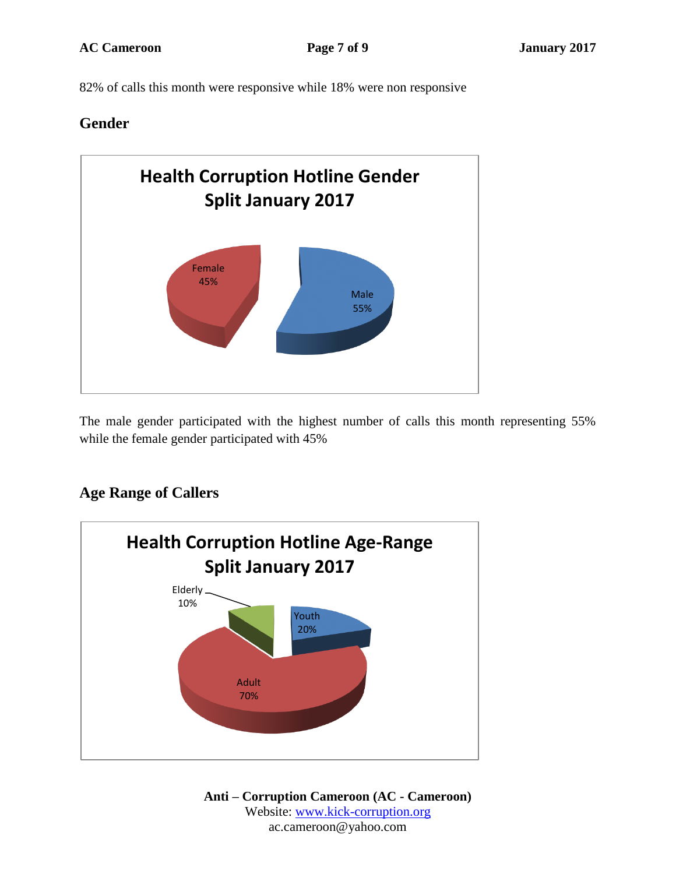82% of calls this month were responsive while 18% were non responsive

### **Gender**



The male gender participated with the highest number of calls this month representing 55% while the female gender participated with 45%

### **Age Range of Callers**

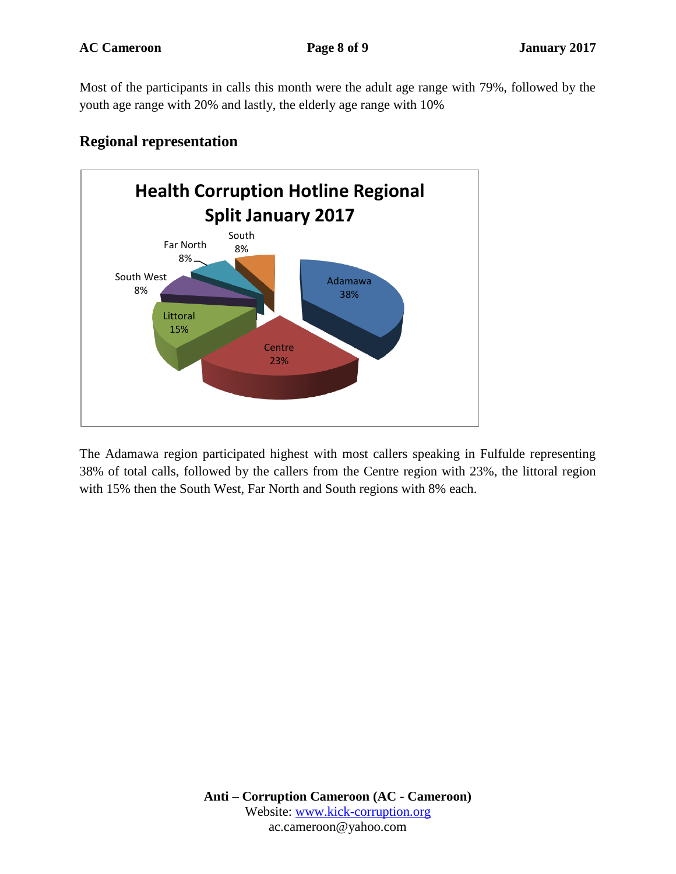Most of the participants in calls this month were the adult age range with 79%, followed by the youth age range with 20% and lastly, the elderly age range with 10%



### **Regional representation**

The Adamawa region participated highest with most callers speaking in Fulfulde representing 38% of total calls, followed by the callers from the Centre region with 23%, the littoral region with 15% then the South West, Far North and South regions with 8% each.